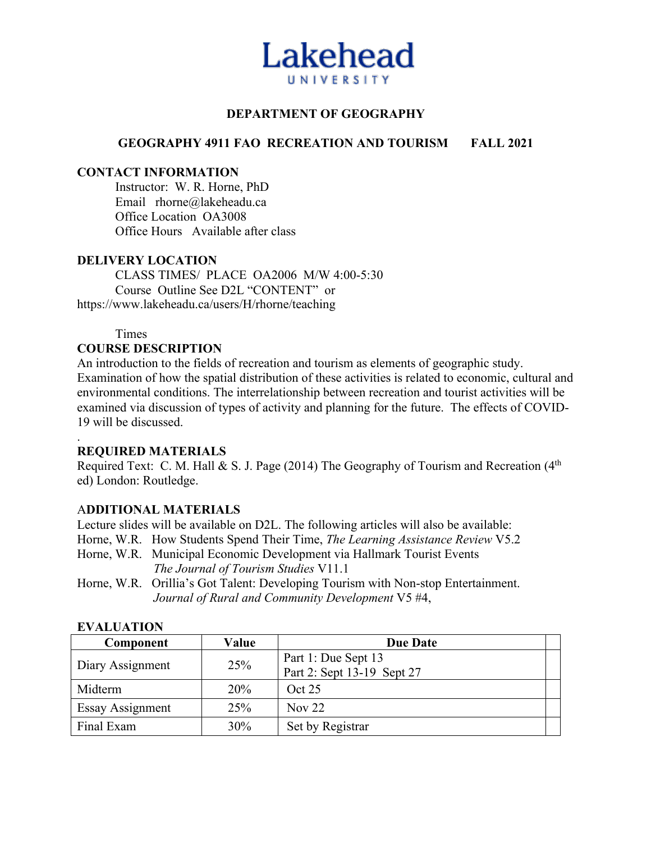

## **DEPARTMENT OF GEOGRAPHY**

## **GEOGRAPHY 4911 FAO RECREATION AND TOURISM FALL 2021**

#### **CONTACT INFORMATION**

Instructor: W. R. Horne, PhD Email rhorne@lakeheadu.ca Office Location OA3008 Office Hours Available after class

#### **DELIVERY LOCATION**

CLASS TIMES/ PLACE OA2006 M/W 4:00-5:30 Course Outline See D2L "CONTENT" or https://www.lakeheadu.ca/users/H/rhorne/teaching

Times

#### **COURSE DESCRIPTION**

An introduction to the fields of recreation and tourism as elements of geographic study. Examination of how the spatial distribution of these activities is related to economic, cultural and environmental conditions. The interrelationship between recreation and tourist activities will be examined via discussion of types of activity and planning for the future. The effects of COVID-19 will be discussed.

#### . **REQUIRED MATERIALS**

Required Text: C. M. Hall & S. J. Page (2014) The Geography of Tourism and Recreation ( $4<sup>th</sup>$ ed) London: Routledge.

## A**DDITIONAL MATERIALS**

Lecture slides will be available on D2L. The following articles will also be available: Horne, W.R. How Students Spend Their Time, *The Learning Assistance Review* V5.2 Horne, W.R. Municipal Economic Development via Hallmark Tourist Events *The Journal of Tourism Studies* V11.1

Horne, W.R. Orillia's Got Talent: Developing Tourism with Non-stop Entertainment. *Journal of Rural and Community Development* V5 #4,

| Component        | Value | <b>Due Date</b>            |  |  |
|------------------|-------|----------------------------|--|--|
| Diary Assignment | 25%   | Part 1: Due Sept 13        |  |  |
|                  |       | Part 2: Sept 13-19 Sept 27 |  |  |
| Midterm          | 20%   | Oct 25                     |  |  |
| Essay Assignment | 25%   | Nov $22$                   |  |  |
| Final Exam       | 30%   | Set by Registrar           |  |  |

#### **EVALUATION**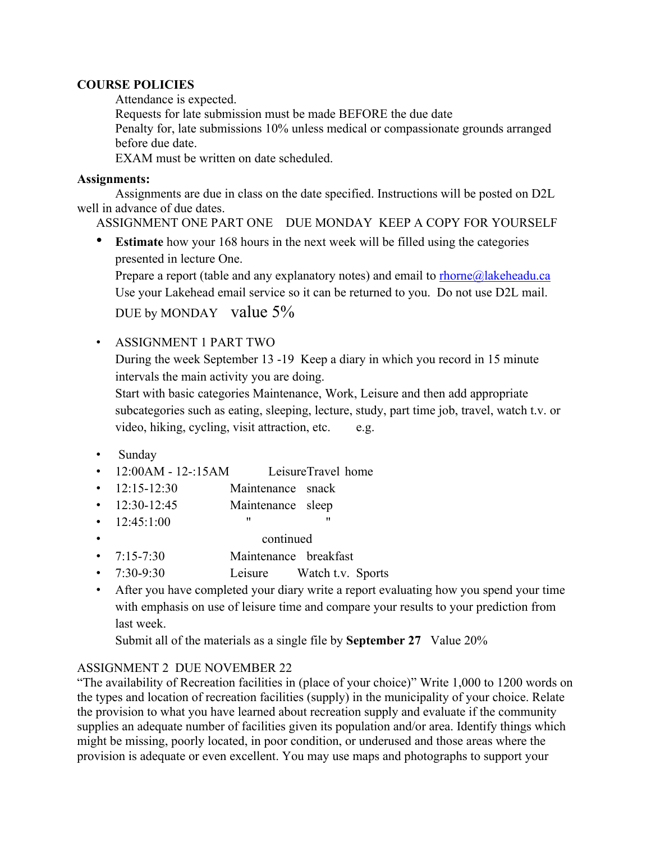## **COURSE POLICIES**

Attendance is expected.

Requests for late submission must be made BEFORE the due date

Penalty for, late submissions 10% unless medical or compassionate grounds arranged before due date.

EXAM must be written on date scheduled.

## **Assignments:**

Assignments are due in class on the date specified. Instructions will be posted on D2L well in advance of due dates.

ASSIGNMENT ONE PART ONE DUE MONDAY KEEP A COPY FOR YOURSELF

**Estimate** how your 168 hours in the next week will be filled using the categories presented in lecture One.

Prepare a report (table and any explanatory notes) and email to  $r$ horne $@$ lakeheadu.ca Use your Lakehead email service so it can be returned to you. Do not use D2L mail.

DUE by MONDAY value  $5\%$ 

• ASSIGNMENT 1 PART TWO

During the week September 13 -19 Keep a diary in which you record in 15 minute intervals the main activity you are doing.

Start with basic categories Maintenance, Work, Leisure and then add appropriate subcategories such as eating, sleeping, lecture, study, part time job, travel, watch t.v. or video, hiking, cycling, visit attraction, etc. e.g.

- Sunday
- 12:00AM 12-:15AM LeisureTravel home
- 12:15-12:30 Maintenance snack
- 12:30-12:45 Maintenance sleep
- $12:45:1:00$  " "
	- continued
- 7:15-7:30 Maintenance breakfast
- 7:30-9:30 Leisure Watch t.v. Sports
- After you have completed your diary write a report evaluating how you spend your time with emphasis on use of leisure time and compare your results to your prediction from last week.

Submit all of the materials as a single file by **September 27** Value 20%

# ASSIGNMENT 2 DUE NOVEMBER 22

"The availability of Recreation facilities in (place of your choice)" Write 1,000 to 1200 words on the types and location of recreation facilities (supply) in the municipality of your choice. Relate the provision to what you have learned about recreation supply and evaluate if the community supplies an adequate number of facilities given its population and/or area. Identify things which might be missing, poorly located, in poor condition, or underused and those areas where the provision is adequate or even excellent. You may use maps and photographs to support your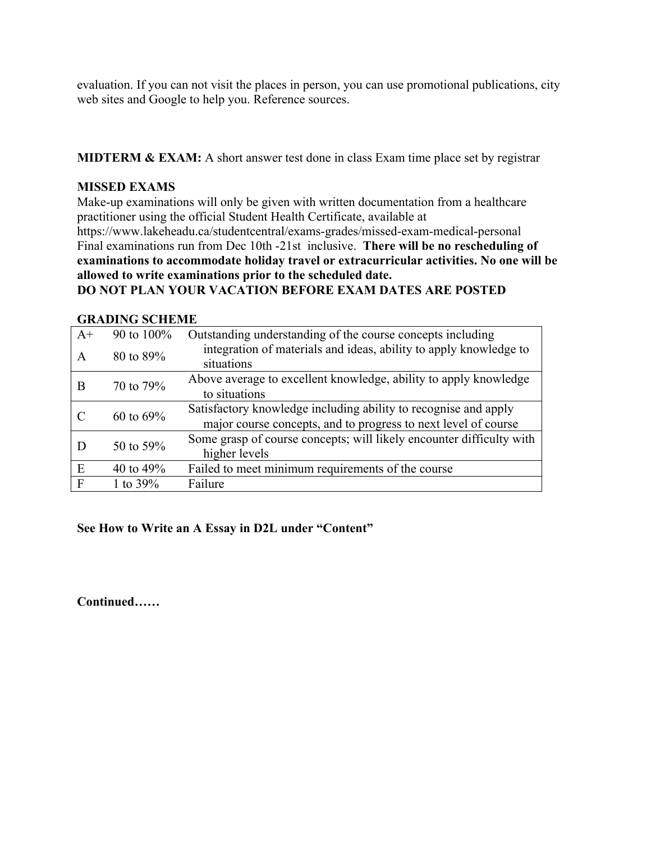evaluation. If you can not visit the places in person, you can use promotional publications, city web sites and Google to help you. Reference sources.

**MIDTERM & EXAM:** A short answer test done in class Exam time place set by registrar

### **MISSED EXAMS**

Make-up examinations will only be given with written documentation from a healthcare practitioner using the official Student Health Certificate, available at https://www.lakeheadu.ca/studentcentral/exams-grades/missed-exam-medical-personal Final examinations run from Dec 10th -21st inclusive. **There will be no rescheduling of examinations to accommodate holiday travel or extracurricular activities. No one will be allowed to write examinations prior to the scheduled date. DO NOT PLAN YOUR VACATION BEFORE EXAM DATES ARE POSTED**

#### **GRADING SCHEME**

| $A+$ | 90 to 100%   | Outstanding understanding of the course concepts including                      |  |
|------|--------------|---------------------------------------------------------------------------------|--|
| A    | 80 to 89%    | integration of materials and ideas, ability to apply knowledge to<br>situations |  |
| B    | 70 to 79%    | Above average to excellent knowledge, ability to apply knowledge                |  |
|      |              | to situations                                                                   |  |
|      | 60 to $69\%$ | Satisfactory knowledge including ability to recognise and apply                 |  |
|      |              | major course concepts, and to progress to next level of course                  |  |
|      | 50 to 59%    | Some grasp of course concepts; will likely encounter difficulty with            |  |
|      |              | higher levels                                                                   |  |
| E    | 40 to $49\%$ | Failed to meet minimum requirements of the course                               |  |
| F    | 1 to $39\%$  | Failure                                                                         |  |

**See How to Write an A Essay in D2L under "Content"**

**Continued……**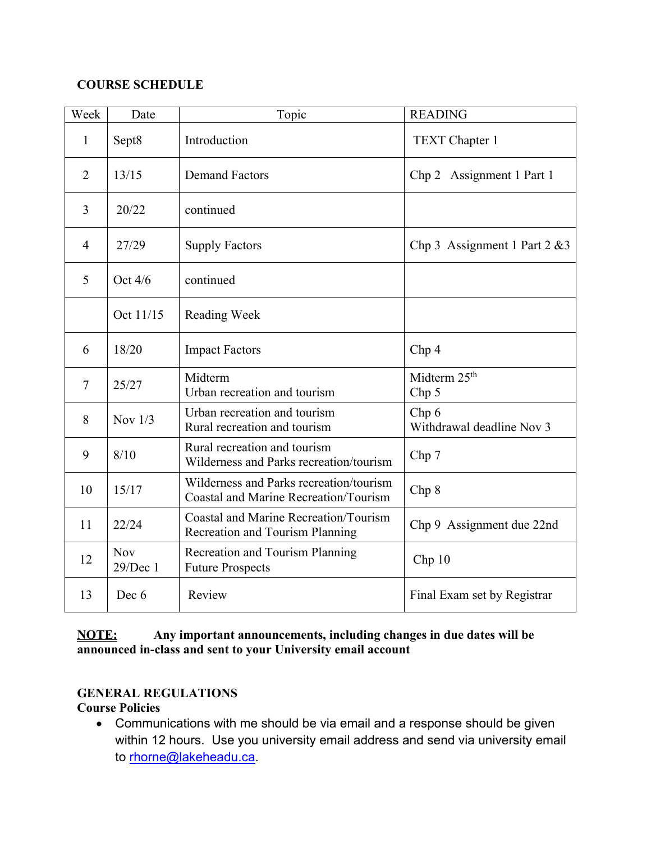# **COURSE SCHEDULE**

| Week           | Date                   | Topic                                                                            | <b>READING</b>                               |
|----------------|------------------------|----------------------------------------------------------------------------------|----------------------------------------------|
| 1              | Sept8                  | Introduction                                                                     | TEXT Chapter 1                               |
| $\overline{2}$ | 13/15                  | <b>Demand Factors</b>                                                            | Assignment 1 Part 1<br>Chp <sub>2</sub>      |
| 3              | 20/22                  | continued                                                                        |                                              |
| $\overline{4}$ | 27/29                  | <b>Supply Factors</b>                                                            | Chp 3 Assignment 1 Part $2 \& 3$             |
| 5              | Oct $4/6$              | continued                                                                        |                                              |
|                | Oct 11/15              | Reading Week                                                                     |                                              |
| 6              | 18/20                  | <b>Impact Factors</b>                                                            | Chp <sub>4</sub>                             |
| $\tau$         | 25/27                  | Midterm<br>Urban recreation and tourism                                          | Midterm 25 <sup>th</sup><br>Chp <sub>5</sub> |
| 8              | Nov $1/3$              | Urban recreation and tourism<br>Rural recreation and tourism                     | Chp 6<br>Withdrawal deadline Nov 3           |
| 9              | 8/10                   | Rural recreation and tourism<br>Wilderness and Parks recreation/tourism          | Chp 7                                        |
| 10             | 15/17                  | Wilderness and Parks recreation/tourism<br>Coastal and Marine Recreation/Tourism | Chp8                                         |
| 11             | 22/24                  | Coastal and Marine Recreation/Tourism<br>Recreation and Tourism Planning         | Chp 9 Assignment due 22nd                    |
| 12             | <b>Nov</b><br>29/Dec 1 | Recreation and Tourism Planning<br><b>Future Prospects</b>                       | Chp10                                        |
| 13             | Dec 6                  | Review                                                                           | Final Exam set by Registrar                  |

# **NOTE: Any important announcements, including changes in due dates will be announced in-class and sent to your University email account**

# **GENERAL REGULATIONS**

**Course Policies**

• Communications with me should be via email and a response should be given within 12 hours. Use you university email address and send via university email to rhorne@lakeheadu.ca.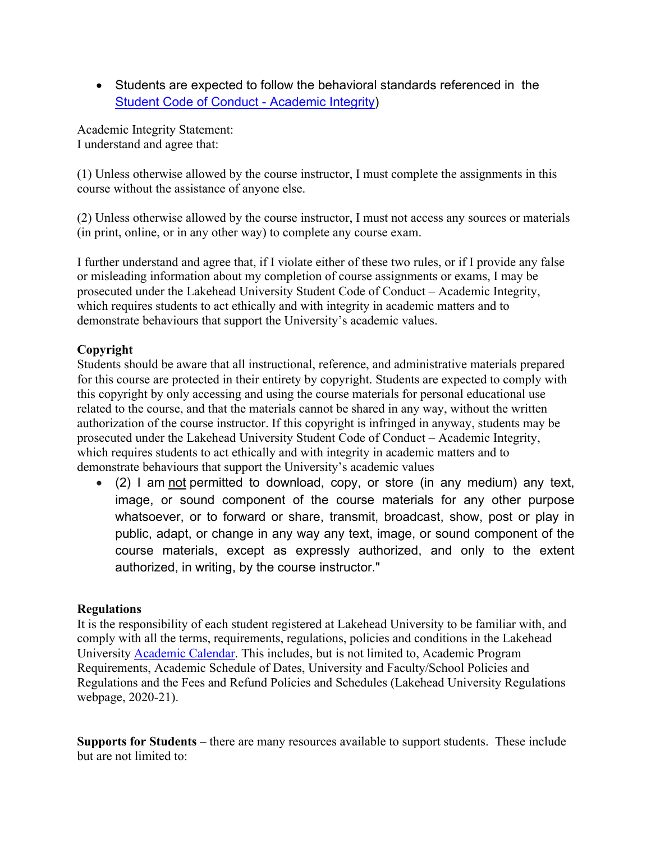• Students are expected to follow the behavioral standards referenced in the Student Code of Conduct - Academic Integrity)

Academic Integrity Statement: I understand and agree that:

(1) Unless otherwise allowed by the course instructor, I must complete the assignments in this course without the assistance of anyone else.

(2) Unless otherwise allowed by the course instructor, I must not access any sources or materials (in print, online, or in any other way) to complete any course exam.

I further understand and agree that, if I violate either of these two rules, or if I provide any false or misleading information about my completion of course assignments or exams, I may be prosecuted under the Lakehead University Student Code of Conduct – Academic Integrity, which requires students to act ethically and with integrity in academic matters and to demonstrate behaviours that support the University's academic values.

# **Copyright**

Students should be aware that all instructional, reference, and administrative materials prepared for this course are protected in their entirety by copyright. Students are expected to comply with this copyright by only accessing and using the course materials for personal educational use related to the course, and that the materials cannot be shared in any way, without the written authorization of the course instructor. If this copyright is infringed in anyway, students may be prosecuted under the Lakehead University Student Code of Conduct – Academic Integrity, which requires students to act ethically and with integrity in academic matters and to demonstrate behaviours that support the University's academic values

• (2) I am not permitted to download, copy, or store (in any medium) any text, image, or sound component of the course materials for any other purpose whatsoever, or to forward or share, transmit, broadcast, show, post or play in public, adapt, or change in any way any text, image, or sound component of the course materials, except as expressly authorized, and only to the extent authorized, in writing, by the course instructor."

## **Regulations**

It is the responsibility of each student registered at Lakehead University to be familiar with, and comply with all the terms, requirements, regulations, policies and conditions in the Lakehead University Academic Calendar. This includes, but is not limited to, Academic Program Requirements, Academic Schedule of Dates, University and Faculty/School Policies and Regulations and the Fees and Refund Policies and Schedules (Lakehead University Regulations webpage, 2020-21).

**Supports for Students** – there are many resources available to support students. These include but are not limited to: